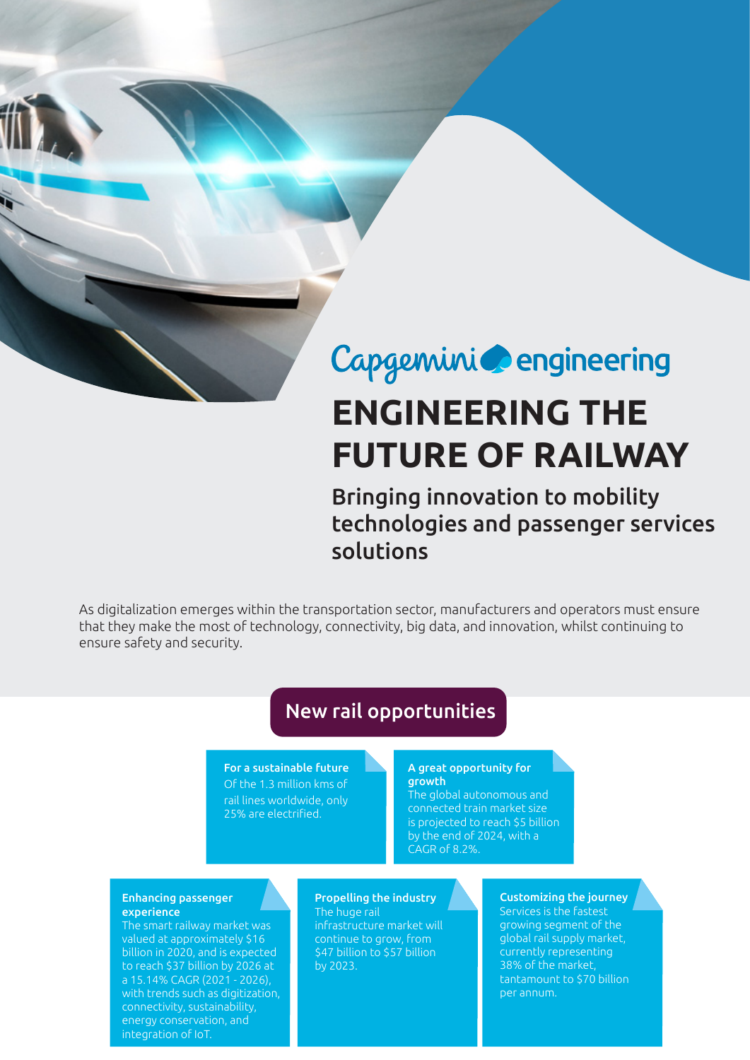# Capgemini **C**engineering

# **ENGINEERING THE FUTURE OF RAILWAY**

## Bringing innovation to mobility technologies and passenger services solutions

As digitalization emerges within the transportation sector, manufacturers and operators must ensure that they make the most of technology, connectivity, big data, and innovation, whilst continuing to ensure safety and security.

### New rail opportunities

For a sustainable future Of the 1.3 million kms of rail lines worldwide, only 25% are electrified.

#### A great opportunity for **growth**

The global autonomous and connected train market size is projected to reach \$5 billion by the end of 2024, with a CAGR of 8.2%.

#### Enhancing passenger experience

The smart railway market was valued at approximately \$16 billion in 2020, and is expected to reach \$37 billion by 2026 at a 15.14% CAGR (2021 - 2026), with trends such as digitization, connectivity, sustainability, energy conservation, and integration of IoT.

#### Propelling the industry The huge rail

infrastructure market will continue to grow, from \$47 billion to \$57 billion by 2023.

### Customizing the journey

Services is the fastest growing segment of the global rail supply market, currently representing 38% of the market, tantamount to \$70 billion per annum.